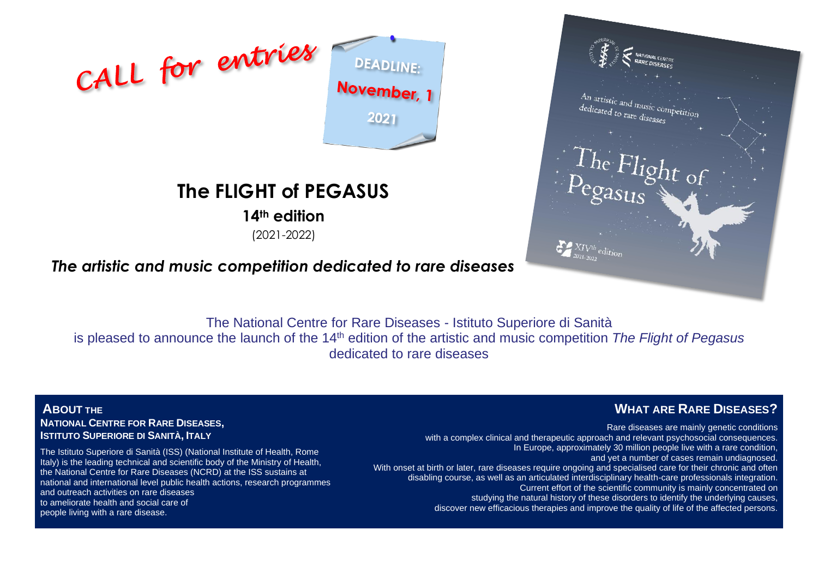

# **The FLIGHT of PEGASUS**

**14th edition**

(2021-2022)



# *The artistic and music competition dedicated to rare diseases*

The National Centre for Rare Diseases - Istituto Superiore di Sanità is pleased to announce the launch of the 14<sup>th</sup> edition of the artistic and music competition The Flight of Pegasus dedicated to rare diseases

**ABOUT THE NATIONAL CENTRE FOR RARE DISEASES, ISTITUTO SUPERIORE DI SANITÀ, ITALY**

The Istituto Superiore di Sanità (ISS) (National Institute of Health, Rome Italy) is the leading technical and scientific body of the Ministry of Health, the National Centre for Rare Diseases (NCRD) at the ISS sustains at national and international level public health actions, research programmes and outreach activities on rare diseases to ameliorate health and social care of people living with a rare disease.

## **WHAT ARE RARE DISEASES?**

Rare diseases are mainly genetic conditions with a complex clinical and therapeutic approach and relevant psychosocial consequences. In Europe, approximately 30 million people live with a rare condition, and yet a number of cases remain undiagnosed. With onset at birth or later, rare diseases require ongoing and specialised care for their chronic and often disabling course, as well as an articulated interdisciplinary health-care professionals integration. Current effort of the scientific community is mainly concentrated on studying the natural history of these disorders to identify the underlying causes, discover new efficacious therapies and improve the quality of life of the affected persons.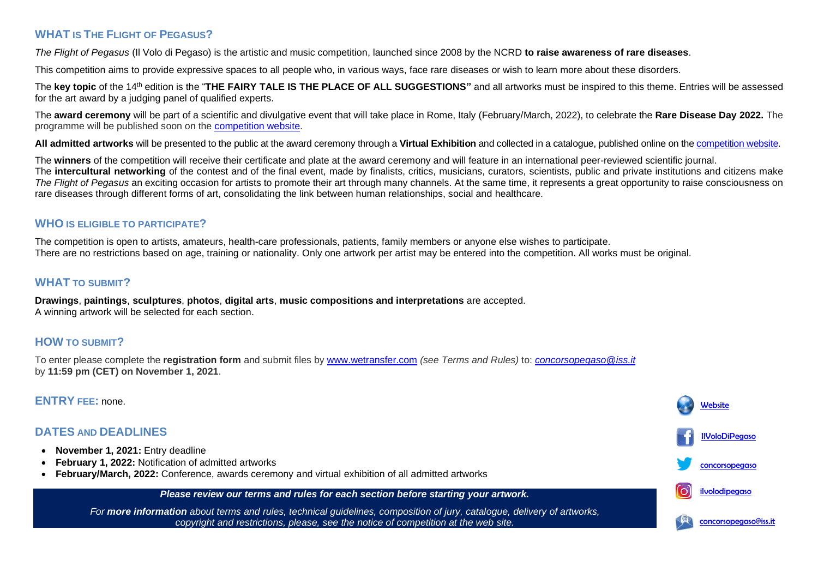## **WHAT IS THE FLIGHT OF PEGASUS?**

*The Flight of Pegasus* (Il Volo di Pegaso) is the artistic and music competition, launched since 2008 by the NCRD **to raise awareness of rare diseases**.

This competition aims to provide expressive spaces to all people who, in various ways, face rare diseases or wish to learn more about these disorders.

The key topic of the 14<sup>th</sup> edition is the "THE FAIRY TALE IS THE PLACE OF ALL SUGGESTIONS" and all artworks must be inspired to this theme. Entries will be assessed for the art award by a judging panel of qualified experts.

The **award ceremony** will be part of a scientific and divulgative event that will take place in Rome, Italy (February/March, 2022), to celebrate the **Rare Disease Day 2022.** The programme will be published soon on the [competition website.](https://www.iss.it/en/health-humanities?p_p_id=com_liferay_asset_publisher_web_portlet_AssetPublisherPortlet_INSTANCE_Jts5Nz7IGfYJ&p_p_lifecycle=0&p_p_state=normal&p_p_mode=view&_com_liferay_asset_publisher_web_portlet_AssetPublisherPortlet_INSTANCE_Jts5Nz7IGfYJ_cur=0&p_r_p_resetCur=false&_com_liferay_asset_publisher_web_portlet_AssetPublisherPortlet_INSTANCE_Jts5Nz7IGfYJ_assetEntryId=3630048#3630048)

**All admitted artworks** will be presented to the public at the award ceremony through a **Virtual Exhibition** and collected in a catalogue, published online on the [competition website.](https://www.iss.it/en/health-humanities?p_p_id=com_liferay_asset_publisher_web_portlet_AssetPublisherPortlet_INSTANCE_Jts5Nz7IGfYJ&p_p_lifecycle=0&p_p_state=normal&p_p_mode=view&_com_liferay_asset_publisher_web_portlet_AssetPublisherPortlet_INSTANCE_Jts5Nz7IGfYJ_cur=0&p_r_p_resetCur=false&_com_liferay_asset_publisher_web_portlet_AssetPublisherPortlet_INSTANCE_Jts5Nz7IGfYJ_assetEntryId=3630048#3630048)

The **winners** of the competition will receive their certificate and plate at the award ceremony and will feature in an international peer-reviewed scientific journal. The **intercultural networking** of the contest and of the final event, made by finalists, critics, musicians, curators, scientists, public and private institutions and citizens make *The Flight of Pegasus* an exciting occasion for artists to promote their art through many channels. At the same time, it represents a great opportunity to raise consciousness on rare diseases through different forms of art, consolidating the link between human relationships, social and healthcare.

### **WHO IS ELIGIBLE TO PARTICIPATE?**

The competition is open to artists, amateurs, health-care professionals, patients, family members or anyone else wishes to participate. There are no restrictions based on age, training or nationality. Only one artwork per artist may be entered into the competition. All works must be original.

## **WHAT TO SUBMIT?**

**Drawings**, **paintings**, **sculptures**, **photos**, **digital arts**, **music compositions and interpretations** are accepted. A winning artwork will be selected for each section.

## **HOW TO SUBMIT?**

To enter please complete the **registration form** and submit files by [www.wetransfer.com](http://www.wetransfer.com/) *(see Terms and Rules)* to: *[concorsopegaso@iss.it](mailto:concorsopegaso@iss.it)* by **11:59 pm (CET) on November 1, 2021**.

### **ENTRY FEE:** none.

## **DATES AND DEADLINES**

- **November 1, 2021:** Entry deadline
- **February 1, 2022:** Notification of admitted artworks
- **February/March, 2022:** Conference, awards ceremony and virtual exhibition of all admitted artworks

*Please review our terms and rules for each section before starting your artwork. For more information about terms and rules, technical guidelines, composition of jury, catalogue, delivery of artworks, copyright and restrictions, please, see the notice of competition at the web site.* **[Website](https://www.iss.it/en/health-humanities?p_p_id=com_liferay_asset_publisher_web_portlet_AssetPublisherPortlet_INSTANCE_Jts5Nz7IGfYJ&p_p_lifecycle=0&p_p_state=normal&p_p_mode=view&_com_liferay_asset_publisher_web_portlet_AssetPublisherPortlet_INSTANCE_Jts5Nz7IGfYJ_cur=0&p_r_p_resetCur=false&_com_liferay_asset_publisher_web_portlet_AssetPublisherPortlet_INSTANCE_Jts5Nz7IGfYJ_assetEntryId=3630048#3630048)** [concorsopegaso@iss.it](mailto:concorsopegaso@iss.it) **[IlVoloDiPegaso](https://www.facebook.com/IlVoloDiPegaso)** [concorsopegaso](https://twitter.com/concorsopegaso) [ilvolodipegaso](https://www.instagram.com/ilvolodipegaso/)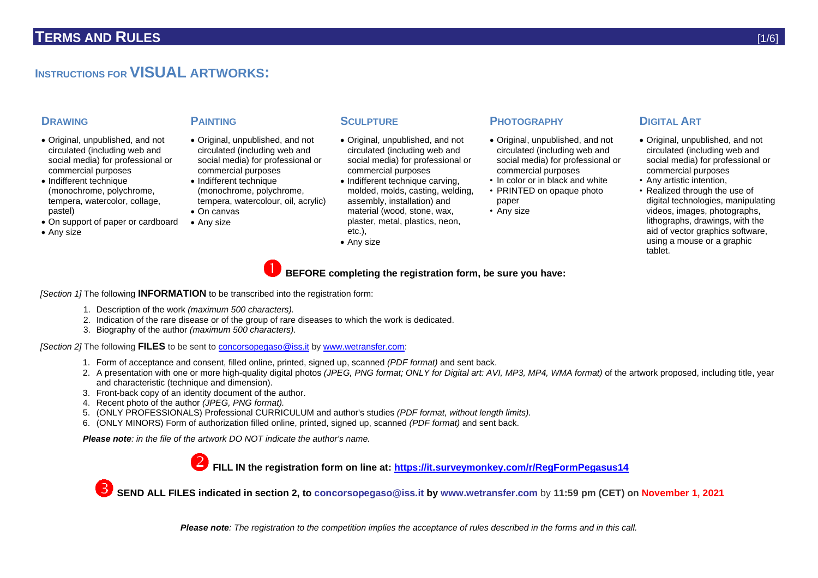## **INSTRUCTIONS FOR VISUAL ARTWORKS:**

- Original, unpublished, and not circulated (including web and social media) for professional or commercial purposes
- Indifferent technique (monochrome, polychrome, tempera, watercolor, collage, pastel)
- On support of paper or cardboard
- Any size

- Original, unpublished, and not circulated (including web and social media) for professional or commercial purposes
- Indifferent technique (monochrome, polychrome, tempera, watercolour, oil, acrylic)
- On canvas
- Any size

- Original, unpublished, and not circulated (including web and social media) for professional or commercial purposes
- Indifferent technique carving, molded, molds, casting, welding, assembly, installation) and material (wood, stone, wax, plaster, metal, plastics, neon, etc.),
- Any size

### **DRAWING PAINTING SCULPTURE PHOTOGRAPHY DIGITAL ART**

- Original, unpublished, and not circulated (including web and social media) for professional or commercial purposes
- In color or in black and white • PRINTED on opaque photo
- paper
- Any size

- Original, unpublished, and not circulated (including web and social media) for professional or commercial purposes
- Any artistic intention,
- Realized through the use of digital technologies, manipulating videos, images, photographs, lithographs, drawings, with the aid of vector graphics software, using a mouse or a graphic tablet.

- *[Section 1]* The following **INFORMATION** to be transcribed into the registration form:
	- 1. Description of the work *(maximum 500 characters).*
	- 2. Indication of the rare disease or of the group of rare diseases to which the work is dedicated.
	- 3. Biography of the author *(maximum 500 characters).*

*[Section 2]* The following **FILES** to be sent to [concorsopegaso@iss.it](mailto:concorsopegaso@iss.it) b[y www.wetransfer.com:](http://www.wetransfer.com/)

- 1. Form of acceptance and consent, filled online, printed, signed up, scanned *(PDF format)* and sent back.
- 2. A presentation with one or more high-quality digital photos *(JPEG, PNG format; ONLY for Digital art: AVI, MP3, MP4, WMA format)* of the artwork proposed, including title, year and characteristic (technique and dimension).

**BEFORE completing the registration form, be sure you have:**

- 3. Front-back copy of an identity document of the author.
- 4. Recent photo of the author *(JPEG, PNG format).*
- 5. (ONLY PROFESSIONALS) Professional CURRICULUM and author's studies *(PDF format, without length limits).*
- 6. (ONLY MINORS) Form of authorization filled online, printed, signed up, scanned *(PDF format)* and sent back.

*Please note: in the file of the artwork DO NOT indicate the author's name.*



**FILL IN the registration form on line at:<https://it.surveymonkey.com/r/RegFormPegasus14>**

**SEND ALL FILES indicated in section 2, to [concorsopegaso@iss.it](mailto:concorsopegaso@iss.it) by [www.wetransfer.com](http://www.wetransfer.com/)** by **11:59 pm (CET) on November 1, 2021**

*Please note: The registration to the competition implies the acceptance of rules described in the forms and in this call.*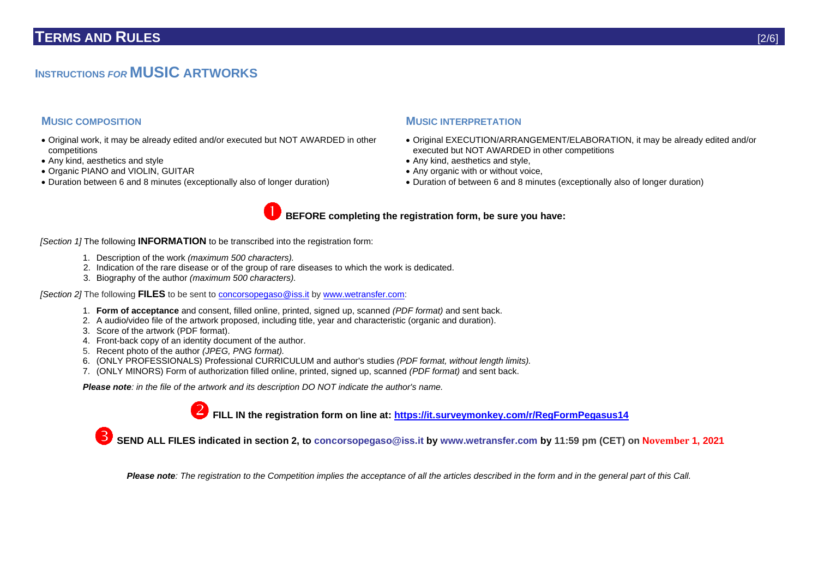## **INSTRUCTIONS** *FOR* **MUSIC ARTWORKS**

- Original work, it may be already edited and/or executed but NOT AWARDED in other competitions
- Any kind, aesthetics and style
- Organic PIANO and VIOLIN, GUITAR
- Duration between 6 and 8 minutes (exceptionally also of longer duration)

#### **MUSIC COMPOSITION MUSIC INTERPRETATION**

- Original EXECUTION/ARRANGEMENT/ELABORATION, it may be already edited and/or executed but NOT AWARDED in other competitions
- Any kind, aesthetics and style,
- Any organic with or without voice,
- Duration of between 6 and 8 minutes (exceptionally also of longer duration)



*[Section 1]* The following **INFORMATION** to be transcribed into the registration form:

- 1. Description of the work *(maximum 500 characters).*
- 2. Indication of the rare disease or of the group of rare diseases to which the work is dedicated.
- 3. Biography of the author *(maximum 500 characters).*

*[Section 2]* The following **FILES** to be sent to [concorsopegaso@iss.it](mailto:concorsopegaso@iss.it) b[y www.wetransfer.com:](http://www.wetransfer.com/)

- 1. **Form of acceptance** and consent, filled online, printed, signed up, scanned *(PDF format)* and sent back.
- 2. A audio/video file of the artwork proposed, including title, year and characteristic (organic and duration).
- 3. Score of the artwork (PDF format).
- 4. Front-back copy of an identity document of the author.
- 5. Recent photo of the author *(JPEG, PNG format).*
- 6. (ONLY PROFESSIONALS) Professional CURRICULUM and author's studies *(PDF format, without length limits).*
- 7. (ONLY MINORS) Form of authorization filled online, printed, signed up, scanned *(PDF format)* and sent back.

*Please note: in the file of the artwork and its description DO NOT indicate the author's name.*

**FILL IN the registration form on line at: <https://it.surveymonkey.com/r/RegFormPegasus14>**

**SEND ALL FILES indicated in section 2, to [concorsopegaso@iss.it](mailto:concorsopegaso@iss.it) by [www.wetransfer.com](http://www.wetransfer.com/) by 11:59 pm (CET) on November 1, 2021**

*Please note: The registration to the Competition implies the acceptance of all the articles described in the form and in the general part of this Call.*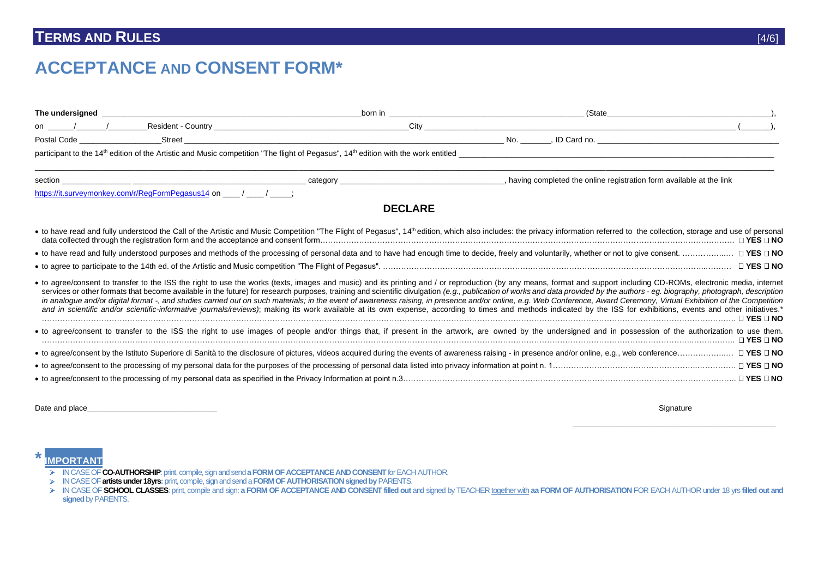# **TERMS AND RULES** [4/6]

# **ACCEPTANCE AND CONSENT FORM\***

| The undersigned |                                                                                                                                                                                                                                                | born in        | (State                                                                                                                                                                                                                                                                                                                                                                                                                                                                                                                                                                                                                                                                                                                                                                                                                                                                                                      |                      |
|-----------------|------------------------------------------------------------------------------------------------------------------------------------------------------------------------------------------------------------------------------------------------|----------------|-------------------------------------------------------------------------------------------------------------------------------------------------------------------------------------------------------------------------------------------------------------------------------------------------------------------------------------------------------------------------------------------------------------------------------------------------------------------------------------------------------------------------------------------------------------------------------------------------------------------------------------------------------------------------------------------------------------------------------------------------------------------------------------------------------------------------------------------------------------------------------------------------------------|----------------------|
| on /            |                                                                                                                                                                                                                                                |                |                                                                                                                                                                                                                                                                                                                                                                                                                                                                                                                                                                                                                                                                                                                                                                                                                                                                                                             |                      |
|                 | Street<br>Postal Code <b>Communist Communist Communist Communist Communist Communist Communist Communist Communist Communist Communist Communist Communist Communist Communist Communist Communist Communist Communist Communist Communist</b> |                |                                                                                                                                                                                                                                                                                                                                                                                                                                                                                                                                                                                                                                                                                                                                                                                                                                                                                                             |                      |
|                 |                                                                                                                                                                                                                                                |                |                                                                                                                                                                                                                                                                                                                                                                                                                                                                                                                                                                                                                                                                                                                                                                                                                                                                                                             |                      |
|                 |                                                                                                                                                                                                                                                |                | , having completed the online registration form available at the link                                                                                                                                                                                                                                                                                                                                                                                                                                                                                                                                                                                                                                                                                                                                                                                                                                       |                      |
|                 | https://it.surveymonkey.com/r/ReqFormPegasus14 on / / /                                                                                                                                                                                        |                |                                                                                                                                                                                                                                                                                                                                                                                                                                                                                                                                                                                                                                                                                                                                                                                                                                                                                                             |                      |
|                 |                                                                                                                                                                                                                                                | <b>DECLARE</b> |                                                                                                                                                                                                                                                                                                                                                                                                                                                                                                                                                                                                                                                                                                                                                                                                                                                                                                             |                      |
|                 |                                                                                                                                                                                                                                                |                | • to have read and fully understood the Call of the Artistic and Music Competition "The Flight of Pegasus", 14th edition, which also includes: the privacy information referred to the collection, storage and use of personal                                                                                                                                                                                                                                                                                                                                                                                                                                                                                                                                                                                                                                                                              |                      |
|                 |                                                                                                                                                                                                                                                |                | • to have read and fully understood purposes and methods of the processing of personal data and to have had enough time to decide, freely and voluntarily, whether or not to give consent.                                                                                                                                                                                                                                                                                                                                                                                                                                                                                                                                                                                                                                                                                                                  |                      |
|                 |                                                                                                                                                                                                                                                |                |                                                                                                                                                                                                                                                                                                                                                                                                                                                                                                                                                                                                                                                                                                                                                                                                                                                                                                             |                      |
|                 |                                                                                                                                                                                                                                                |                | • to agree/consent to transfer to the ISS the right to use the works (texts, images and music) and its printing and / or reproduction (by any means, format and support including CD-ROMs, electronic media, internet<br>services or other formats that become available in the future) for research purposes, training and scientific divulgation (e.g., publication of works and data provided by the authors - eg. biography, photograph, descriptio<br>in analogue and/or digital format -, and studies carried out on such materials; in the event of awareness raising, in presence and/or online, e.g. Web Conference, Award Ceremony, Virtual Exhibition of the Competition<br>and in scientific and/or scientific-informative journals/reviews); making its work available at its own expense, according to times and methods indicated by the ISS for exhibitions, events and other initiatives.* | $\Box$ YES $\Box$ NO |
|                 |                                                                                                                                                                                                                                                |                | · to agree/consent to transfer to the ISS the right to use images of people and/or things that, if present in the artwork, are owned by the undersigned and in possession of the authorization to use them.                                                                                                                                                                                                                                                                                                                                                                                                                                                                                                                                                                                                                                                                                                 | $\Box$ YES $\Box$ NO |
|                 |                                                                                                                                                                                                                                                |                | • to agree/consent by the Istituto Superiore di Sanità to the disclosure of pictures, videos acquired during the events of awareness raising - in presence and/or online, e.g., web conference                                                                                                                                                                                                                                                                                                                                                                                                                                                                                                                                                                                                                                                                                                              |                      |
|                 |                                                                                                                                                                                                                                                |                |                                                                                                                                                                                                                                                                                                                                                                                                                                                                                                                                                                                                                                                                                                                                                                                                                                                                                                             |                      |
|                 |                                                                                                                                                                                                                                                |                |                                                                                                                                                                                                                                                                                                                                                                                                                                                                                                                                                                                                                                                                                                                                                                                                                                                                                                             |                      |

Date and place\_\_\_\_\_\_\_\_\_\_\_\_\_\_\_\_\_\_\_\_\_\_\_\_\_\_\_\_\_\_ Signature

 **\_\_\_\_\_\_\_\_\_\_\_\_\_\_\_\_\_\_\_\_\_\_\_\_\_\_\_\_\_\_\_\_\_\_\_\_\_\_\_\_\_\_\_\_\_\_\_**

**\*IMPORTANT**

- IN CASE OF **CO-AUTHORSHIP**: print, compile, sign and send **a FORM OF ACCEPTANCE AND CONSENT** for EACH AUTHOR.
- IN CASE OF **artists under 18yrs:**print, compile, sign and send a **FORM OF AUTHORISATION signed by** PARENTS.

<sup>&</sup>gt; IN CASE OF SCHOOL CLASSES: print, compile and sign: a FORM OF ACCEPTANCE AND CONSENT filled out and signed by TEACHER together with aa FORM OF AUTHORISATION FOR EACH AUTHOR under 18 yrs filled out and signed by PARENTS.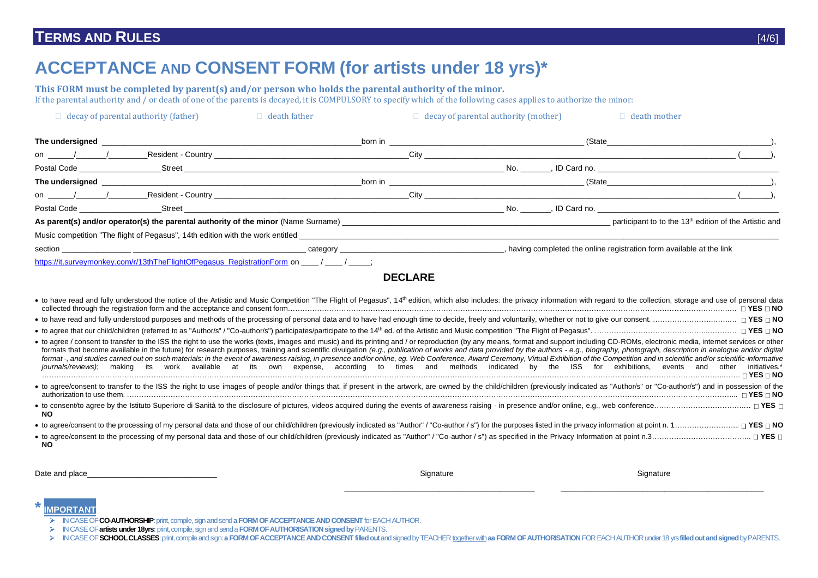## **TERMS AND RULES** [4/6]

# **ACCEPTANCE AND CONSENT FORM (for artists under 18 yrs)\***

**This FORM must be completed by parent(s) and/or person who holds the parental authority of the minor.** If the parental authority and  $\ell$  or death of one of the parents is decayed, it is COMPULSORY to specify which of the following cases applies to authorize the minor:

| $\Box$ decay of parental authority (father)                                                                                                                                                                                          | $\Box$ death father |  | $\Box$ decay of parental authority (mother)                                                                                                                                                                                    | $\Box$ death mother                                                                                                                                                                                                            |
|--------------------------------------------------------------------------------------------------------------------------------------------------------------------------------------------------------------------------------------|---------------------|--|--------------------------------------------------------------------------------------------------------------------------------------------------------------------------------------------------------------------------------|--------------------------------------------------------------------------------------------------------------------------------------------------------------------------------------------------------------------------------|
| The undersigned <b>with the contract of the contract of the contract of the contract of the contract of the contract of the contract of the contract of the contract of the contract of the contract of the contract of the cont</b> |                     |  | <b>born in</b>                                                                                                                                                                                                                 | (State experience of the state of the state of the state of the state of the state of the state of the state of the state of the state of the state of the state of the state of the state of the state of the state of the st |
| on / / Resident - Country Legal and the country state of the country of the country of the country of the country of the country of the country of the country of the country of the country of the country of the country of        |                     |  |                                                                                                                                                                                                                                |                                                                                                                                                                                                                                |
|                                                                                                                                                                                                                                      |                     |  |                                                                                                                                                                                                                                |                                                                                                                                                                                                                                |
| The undersigned                                                                                                                                                                                                                      |                     |  | born in the contract of the contract of the contract of the contract of the contract of the contract of the contract of the contract of the contract of the contract of the contract of the contract of the contract of the co | (State )                                                                                                                                                                                                                       |
|                                                                                                                                                                                                                                      |                     |  |                                                                                                                                                                                                                                |                                                                                                                                                                                                                                |
| Postal Code Street Street Street Street Street Street Street Street Street Street Street Street Street Street                                                                                                                        |                     |  |                                                                                                                                                                                                                                |                                                                                                                                                                                                                                |
|                                                                                                                                                                                                                                      |                     |  |                                                                                                                                                                                                                                |                                                                                                                                                                                                                                |
| Music competition "The flight of Pegasus", 14th edition with the work entitled                                                                                                                                                       |                     |  |                                                                                                                                                                                                                                |                                                                                                                                                                                                                                |
|                                                                                                                                                                                                                                      |                     |  |                                                                                                                                                                                                                                | , having completed the online registration form available at the link                                                                                                                                                          |
| https://it.surveymonkey.com/r/13thTheFlightOfPegasus_RegistrationForm on ____/ ____/ ____;                                                                                                                                           |                     |  |                                                                                                                                                                                                                                |                                                                                                                                                                                                                                |

**DECLARE**

| • to have read and fully understood the notice of the Artistic and Music Competition "The Flight of Pegasus", 14 <sup>th</sup> edition, which also includes: the privacy information with regard to the collection, storage and use of p                                                                                                                                                                                                                                                                                                                                                                                                                                                                                                                                                                                                                           | $\Box$ YES $\Box$ NO        |
|--------------------------------------------------------------------------------------------------------------------------------------------------------------------------------------------------------------------------------------------------------------------------------------------------------------------------------------------------------------------------------------------------------------------------------------------------------------------------------------------------------------------------------------------------------------------------------------------------------------------------------------------------------------------------------------------------------------------------------------------------------------------------------------------------------------------------------------------------------------------|-----------------------------|
| • to have read and fully understood purposes and methods of the processing of personal data and to have had enough time to decide, freely and voluntarily, whether or not to give our consent.                                                                                                                                                                                                                                                                                                                                                                                                                                                                                                                                                                                                                                                                     |                             |
|                                                                                                                                                                                                                                                                                                                                                                                                                                                                                                                                                                                                                                                                                                                                                                                                                                                                    |                             |
| • to agree / consent to transfer to the ISS the right to use the works (texts, images and music) and its printing and / or reproduction (by any means, format and support including CD-ROMs, electronic media, internet servic<br>formats that become available in the future) for research purposes, training and scientific divulgation (e.g., publication of works and data provided by the authors - e.g., biography, photograph, description in analogue an<br>format-, and studies carried out on such materials; in the event of awareness raising, in presence and/or online, eg. Web Conference, Award Ceremony, Virtual Exhibition of the Competition and in scientific and/or scientifi<br>making its work available at its own expense, according to times and methods indicated by the ISS for<br>exhibitions. events and other<br>iournals/reviews): | initiatives.*<br>⊓ YES ⊓ NO |
| • to agree/consent to transfer to the ISS the right to use images of people and/or things that, if present in the artwork, are owned by the child/children (previously indicated as "Author/s" or "Co-author/s") and in posses                                                                                                                                                                                                                                                                                                                                                                                                                                                                                                                                                                                                                                     | $\sqcap$ YES $\sqcap$ NO    |
| • to consent/to agree by the Istituto Superiore di Sanità to the disclosure of pictures, videos acquired during the events of awareness raising - in presence and/or online, e.g., web conference<br><b>NO</b>                                                                                                                                                                                                                                                                                                                                                                                                                                                                                                                                                                                                                                                     |                             |
| • to agree/consent to the processing of my personal data and those of our child/children (previously indicated as "Author" / "Co-author / s") for the purposes listed in the privacy information at point n. 1                                                                                                                                                                                                                                                                                                                                                                                                                                                                                                                                                                                                                                                     |                             |
| • to agree/consent to the processing of my personal data and those of our child/children (previously indicated as "Author" / "Co-author / s") as specified in the Privacy Information at point n.3<br><b>NO</b>                                                                                                                                                                                                                                                                                                                                                                                                                                                                                                                                                                                                                                                    |                             |

Date and place\_\_\_\_\_\_\_\_\_\_\_\_\_\_\_\_\_\_\_\_\_\_\_\_\_\_\_\_\_\_ Signature Signature

**\_\_\_\_\_\_\_\_\_\_\_\_\_\_\_\_\_\_\_\_\_\_\_\_\_\_\_\_\_\_\_\_\_\_\_\_\_\_\_\_\_\_\_\_ \_\_\_\_\_\_\_\_\_\_\_\_\_\_\_\_\_\_\_\_\_\_\_\_\_\_\_\_\_\_\_\_\_\_\_\_\_\_\_\_\_\_\_\_\_\_\_**

#### **\*IMPORTANT**

- IN CASE OF **CO-AUTHORSHIP**: print, compile, sign and send **a FORM OF ACCEPTANCE AND CONSENT** for EACH AUTHOR.
- IN CASE OF **artists under 18yrs:**print, compile, sign and send a **FORM OF AUTHORISATION signed by** PARENTS.
- > IN CASE OF SCHOOL CLASSES: print, compile and sign: a FORM OF ACCEPTANCE AND CONSENT filled out and signed by TEACHER together with aa FORM OF AUTHORISATION FOR EACH AUTHOR under 18 yrs filled out and signed by PARENTS.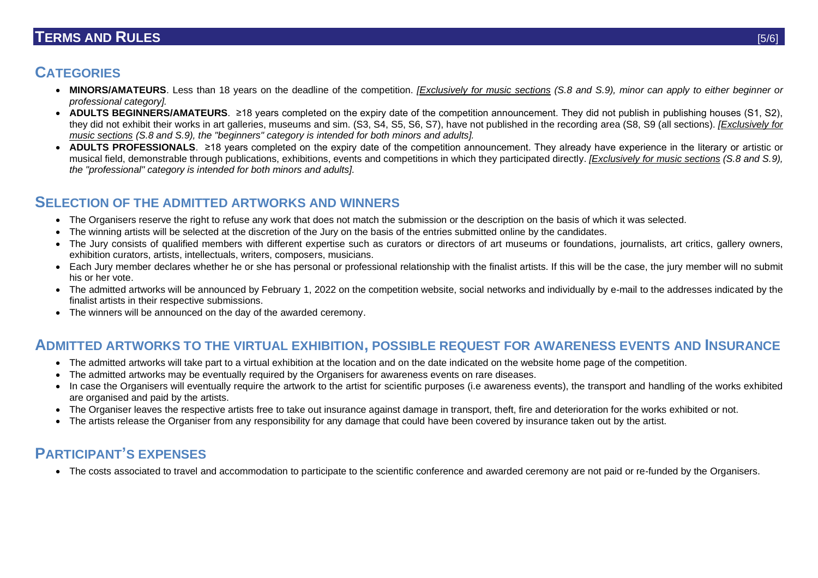## **TERMS AND RULES** [5/6]

# **CATEGORIES**

- **MINORS/AMATEURS**. Less than 18 years on the deadline of the competition. *[Exclusively for music sections (S.8 and S.9), minor can apply to either beginner or professional category].*
- **ADULTS BEGINNERS/AMATEURS.** ≥18 years completed on the expiry date of the competition announcement. They did not publish in publishing houses (S1, S2), they did not exhibit their works in art galleries, museums and sim. (S3, S4, S5, S6, S7), have not published in the recording area (S8, S9 (all sections). *[Exclusively for music sections (S.8 and S.9), the "beginners" category is intended for both minors and adults].*
- **ADULTS PROFESSIONALS**. ≥18 years completed on the expiry date of the competition announcement. They already have experience in the literary or artistic or musical field, demonstrable through publications, exhibitions, events and competitions in which they participated directly. *[Exclusively for music sections (S.8 and S.9), the "professional" category is intended for both minors and adults].*

## **SELECTION OF THE ADMITTED ARTWORKS AND WINNERS**

- The Organisers reserve the right to refuse any work that does not match the submission or the description on the basis of which it was selected.
- The winning artists will be selected at the discretion of the Jury on the basis of the entries submitted online by the candidates.
- The Jury consists of qualified members with different expertise such as curators or directors of art museums or foundations, journalists, art critics, gallery owners, exhibition curators, artists, intellectuals, writers, composers, musicians.
- Each Jury member declares whether he or she has personal or professional relationship with the finalist artists. If this will be the case, the jury member will no submit his or her vote.
- The admitted artworks will be announced by February 1, 2022 on the competition website, social networks and individually by e-mail to the addresses indicated by the finalist artists in their respective submissions.
- The winners will be announced on the day of the awarded ceremony.

## **ADMITTED ARTWORKS TO THE VIRTUAL EXHIBITION, POSSIBLE REQUEST FOR AWARENESS EVENTS AND INSURANCE**

- The admitted artworks will take part to a virtual exhibition at the location and on the date indicated on the website home page of the competition.
- The admitted artworks may be eventually required by the Organisers for awareness events on rare diseases.
- In case the Organisers will eventually require the artwork to the artist for scientific purposes (i.e awareness events), the transport and handling of the works exhibited are organised and paid by the artists.
- The Organiser leaves the respective artists free to take out insurance against damage in transport, theft, fire and deterioration for the works exhibited or not.
- The artists release the Organiser from any responsibility for any damage that could have been covered by insurance taken out by the artist.

## **PARTICIPANT'S EXPENSES**

• The costs associated to travel and accommodation to participate to the scientific conference and awarded ceremony are not paid or re-funded by the Organisers.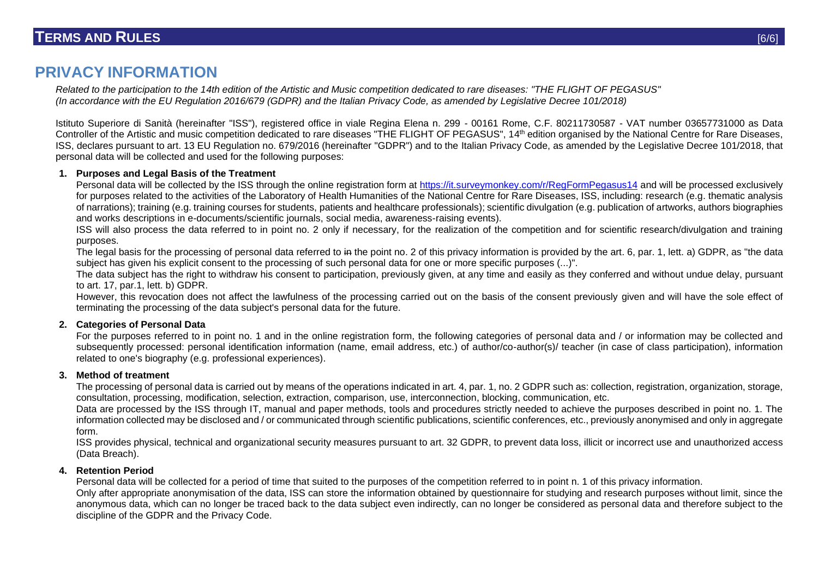## **PRIVACY INFORMATION**

*Related to the participation to the 14th edition of the Artistic and Music competition dedicated to rare diseases: "THE FLIGHT OF PEGASUS" (In accordance with the EU Regulation 2016/679 (GDPR) and the Italian Privacy Code, as amended by Legislative Decree 101/2018)*

Istituto Superiore di Sanità (hereinafter "ISS"), registered office in viale Regina Elena n. 299 - 00161 Rome, C.F. 80211730587 - VAT number 03657731000 as Data Controller of the Artistic and music competition dedicated to rare diseases "THE FLIGHT OF PEGASUS", 14<sup>th</sup> edition organised by the National Centre for Rare Diseases, ISS, declares pursuant to art. 13 EU Regulation no. 679/2016 (hereinafter "GDPR") and to the Italian Privacy Code, as amended by the Legislative Decree 101/2018, that personal data will be collected and used for the following purposes:

#### **1. Purposes and Legal Basis of the Treatment**

Personal data will be collected by the ISS through the online registration form at<https://it.surveymonkey.com/r/RegFormPegasus14> and will be processed exclusively for purposes related to the activities of the Laboratory of Health Humanities of the National Centre for Rare Diseases, ISS, including: research (e.g. thematic analysis of narrations); training (e.g. training courses for students, patients and healthcare professionals); scientific divulgation (e.g. publication of artworks, authors biographies and works descriptions in e-documents/scientific journals, social media, awareness-raising events).

ISS will also process the data referred to in point no. 2 only if necessary, for the realization of the competition and for scientific research/divulgation and training purposes.

The legal basis for the processing of personal data referred to in the point no. 2 of this privacy information is provided by the art. 6, par. 1, lett. a) GDPR, as "the data subject has given his explicit consent to the processing of such personal data for one or more specific purposes (...)".

The data subject has the right to withdraw his consent to participation, previously given, at any time and easily as they conferred and without undue delay, pursuant to art. 17, par.1, lett. b) GDPR.

However, this revocation does not affect the lawfulness of the processing carried out on the basis of the consent previously given and will have the sole effect of terminating the processing of the data subject's personal data for the future.

#### **2. Categories of Personal Data**

For the purposes referred to in point no. 1 and in the online registration form, the following categories of personal data and / or information may be collected and subsequently processed: personal identification information (name, email address, etc.) of author/co-author(s)/ teacher (in case of class participation), information related to one's biography (e.g. professional experiences).

#### **3. Method of treatment**

The processing of personal data is carried out by means of the operations indicated in art. 4, par. 1, no. 2 GDPR such as: collection, registration, organization, storage, consultation, processing, modification, selection, extraction, comparison, use, interconnection, blocking, communication, etc.

Data are processed by the ISS through IT, manual and paper methods, tools and procedures strictly needed to achieve the purposes described in point no. 1. The information collected may be disclosed and / or communicated through scientific publications, scientific conferences, etc., previously anonymised and only in aggregate form.

ISS provides physical, technical and organizational security measures pursuant to art. 32 GDPR, to prevent data loss, illicit or incorrect use and unauthorized access (Data Breach).

#### **4. Retention Period**

Personal data will be collected for a period of time that suited to the purposes of the competition referred to in point n. 1 of this privacy information.

Only after appropriate anonymisation of the data, ISS can store the information obtained by questionnaire for studying and research purposes without limit, since the anonymous data, which can no longer be traced back to the data subject even indirectly, can no longer be considered as personal data and therefore subject to the discipline of the GDPR and the Privacy Code.